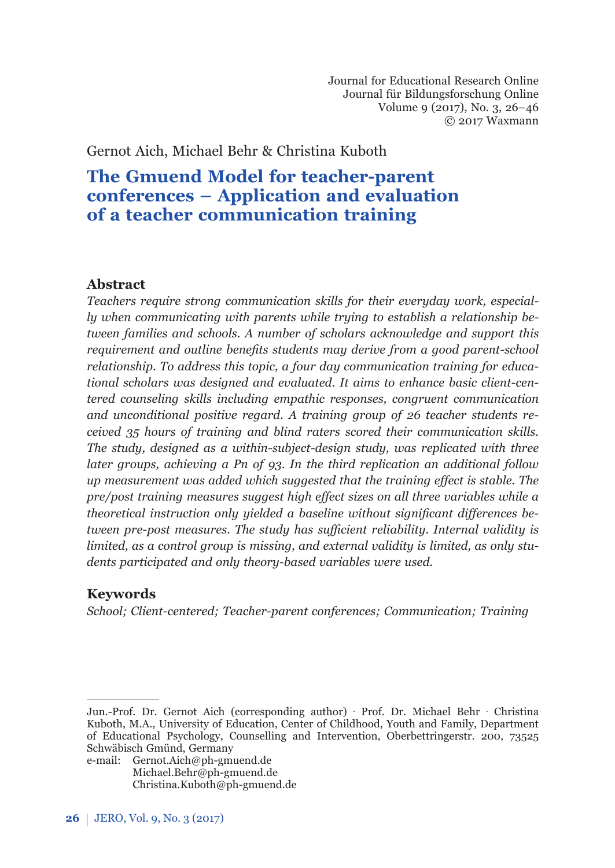Journal for Educational Research Online Journal für Bildungsforschung Online Volume 9 (2017), No. 3, 26–46 © 2017 Waxmann

Gernot Aich, Michael Behr & Christina Kuboth

# **The Gmuend Model for teacher-parent conferences – Application and evaluation of a teacher communication training**

### **Abstract**

*Teachers require strong communication skills for their everyday work, especially when communicating with parents while trying to establish a relationship between families and schools. A number of scholars acknowledge and support this requirement and outline benefits students may derive from a good parent-school relationship. To address this topic, a four day communication training for educational scholars was designed and evaluated. It aims to enhance basic client-centered counseling skills including empathic responses, congruent communication and unconditional positive regard. A training group of 26 teacher students received 35 hours of training and blind raters scored their communication skills. The study, designed as a within-subject-design study, was replicated with three later groups, achieving a Pn of 93. In the third replication an additional follow up measurement was added which suggested that the training eff ect is stable. The pre/post training measures suggest high eff ect sizes on all three variables while a theoretical instruction only yielded a baseline without significant differences between pre-post measures. The study has suffi cient reliability. Internal validity is limited, as a control group is missing, and external validity is limited, as only students participated and only theory-based variables were used.*

## **Keywords**

*School; Client-centered; Teacher-parent conferences; Communication; Training* 

Jun.-Prof. Dr. Gernot Aich (corresponding author) · Prof. Dr. Michael Behr · Christina Kuboth, M.A., University of Education, Center of Childhood, Youth and Family, Department of Educational Psychology, Counselling and Intervention, Oberbettringerstr. 200, 73525 Schwäbisch Gmünd, Germany

e-mail: Gernot.Aich@ph-gmuend.de Michael.Behr@ph-gmuend.de Christina.Kuboth@ph-gmuend.de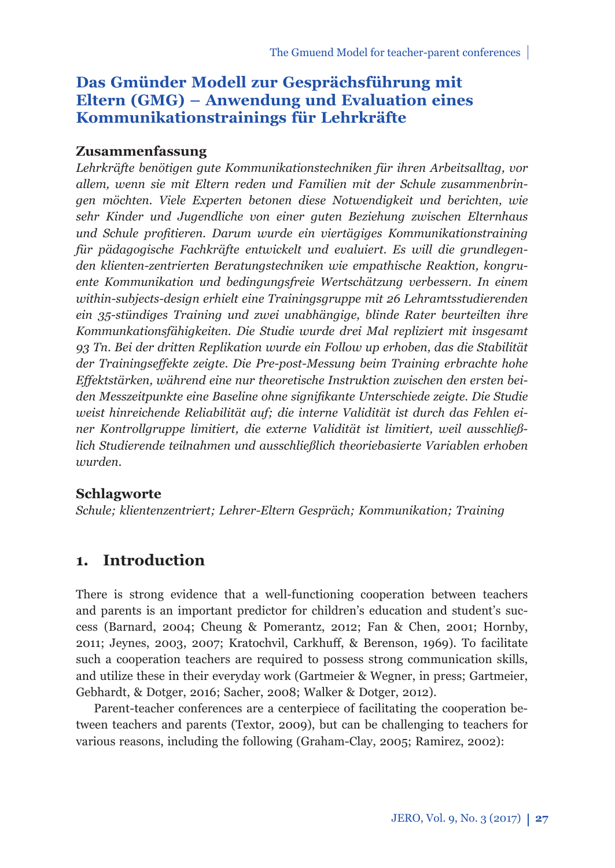## **Das Gmünder Modell zur Gesprächsführung mit Eltern (GMG) – Anwendung und Evaluation eines Kommunikationstrainings für Lehrkräfte**

### **Zusammenfassung**

*Lehrkräfte benötigen gute Kommunikationstechniken für ihren Arbeitsalltag, vor allem, wenn sie mit Eltern reden und Familien mit der Schule zusammenbringen möchten. Viele Experten betonen diese Notwendigkeit und berichten, wie sehr Kinder und Jugendliche von einer guten Beziehung zwischen Elternhaus und Schule profi tieren. Darum wurde ein viertägiges Kommunikationstraining für pädagogische Fachkräfte entwickelt und evaluiert. Es will die grundlegenden klienten-zentrierten Beratungstechniken wie empathische Reaktion, kongruente Kommunikation und bedingungsfreie Wertschätzung verbessern. In einem within-subjects-design erhielt eine Trainingsgruppe mit 26 Lehramtsstudierenden ein 35-stündiges Training und zwei unabhängige, blinde Rater beurteilten ihre Kommunkationsfähigkeiten. Die Studie wurde drei Mal repliziert mit insgesamt 93 Tn. Bei der dritten Replikation wurde ein Follow up erhoben, das die Stabilität der Trainingseff ekte zeigte. Die Pre-post-Messung beim Training erbrachte hohe Eff ektstärken, während eine nur theoretische Instruktion zwischen den ersten beiden Messzeitpunkte eine Baseline ohne signifi kante Unterschiede zeigte. Die Studie weist hinreichende Reliabilität auf; die interne Validität ist durch das Fehlen einer Kontrollgruppe limitiert, die externe Validität ist limitiert, weil ausschließlich Studierende teilnahmen und ausschließlich theoriebasierte Variablen erhoben wurden.*

### **Schlagworte**

*Schule; klientenzentriert; Lehrer-Eltern Gespräch; Kommunikation; Training*

## **1. Introduction**

There is strong evidence that a well-functioning cooperation between teachers and parents is an important predictor for children's education and student's success (Barnard, 2004; Cheung & Pomerantz, 2012; Fan & Chen, 2001; Hornby, 2011; Jeynes, 2003, 2007; Kratochvil, Carkhuff , & Berenson, 1969). To facilitate such a cooperation teachers are required to possess strong communication skills, and utilize these in their everyday work (Gartmeier & Wegner, in press; Gartmeier, Gebhardt, & Dotger, 2016; Sacher, 2008; Walker & Dotger, 2012).

Parent-teacher conferences are a centerpiece of facilitating the cooperation between teachers and parents (Textor, 2009), but can be challenging to teachers for various reasons, including the following (Graham-Clay, 2005; Ramirez, 2002):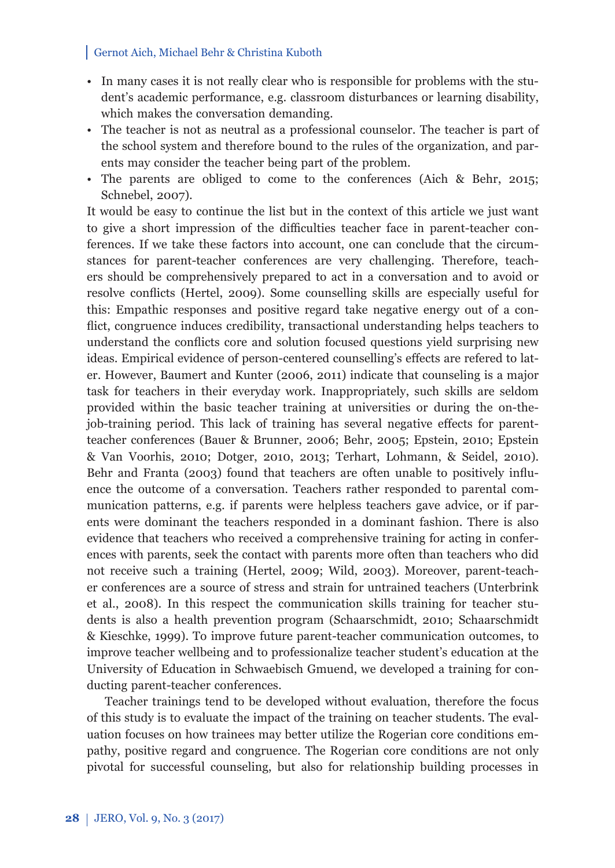- In many cases it is not really clear who is responsible for problems with the student's academic performance, e.g. classroom disturbances or learning disability, which makes the conversation demanding.
- The teacher is not as neutral as a professional counselor. The teacher is part of the school system and therefore bound to the rules of the organization, and parents may consider the teacher being part of the problem.
- The parents are obliged to come to the conferences (Aich & Behr, 2015; Schnebel, 2007).

It would be easy to continue the list but in the context of this article we just want to give a short impression of the difficulties teacher face in parent-teacher conferences. If we take these factors into account, one can conclude that the circumstances for parent-teacher conferences are very challenging. Therefore, teachers should be comprehensively prepared to act in a conversation and to avoid or resolve conflicts (Hertel, 2009). Some counselling skills are especially useful for this: Empathic responses and positive regard take negative energy out of a conflict, congruence induces credibility, transactional understanding helps teachers to understand the conflicts core and solution focused questions yield surprising new ideas. Empirical evidence of person-centered counselling's effects are refered to later. However, Baumert and Kunter (2006, 2011) indicate that counseling is a major task for teachers in their everyday work. Inappropriately, such skills are seldom provided within the basic teacher training at universities or during the on-thejob-training period. This lack of training has several negative effects for parentteacher conferences (Bauer & Brunner, 2006; Behr, 2005; Epstein, 2010; Epstein & Van Voorhis, 2010; Dotger, 2010, 2013; Terhart, Lohmann, & Seidel, 2010). Behr and Franta (2003) found that teachers are often unable to positively influence the outcome of a conversation. Teachers rather responded to parental communication patterns, e.g. if parents were helpless teachers gave advice, or if parents were dominant the teachers responded in a dominant fashion. There is also evidence that teachers who received a comprehensive training for acting in conferences with parents, seek the contact with parents more often than teachers who did not receive such a training (Hertel, 2009; Wild, 2003). Moreover, parent-teacher conferences are a source of stress and strain for untrained teachers (Unterbrink et al., 2008). In this respect the communication skills training for teacher students is also a health prevention program (Schaarschmidt, 2010; Schaarschmidt & Kieschke, 1999). To improve future parent-teacher communication outcomes, to improve teacher wellbeing and to professionalize teacher student's education at the University of Education in Schwaebisch Gmuend, we developed a training for conducting parent-teacher conferences.

Teacher trainings tend to be developed without evaluation, therefore the focus of this study is to evaluate the impact of the training on teacher students. The evaluation focuses on how trainees may better utilize the Rogerian core conditions empathy, positive regard and congruence. The Rogerian core conditions are not only pivotal for successful counseling, but also for relationship building processes in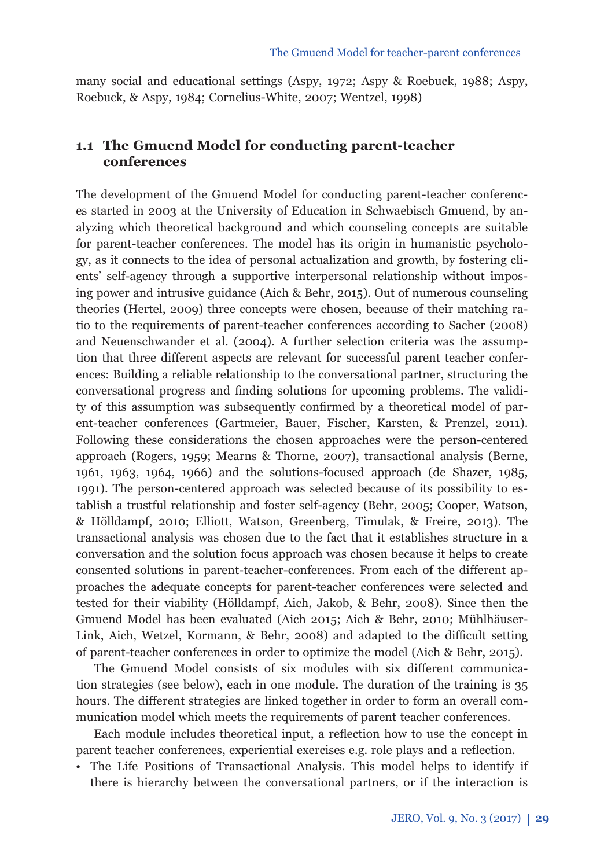many social and educational settings (Aspy, 1972; Aspy & Roebuck, 1988; Aspy, Roebuck, & Aspy, 1984; Cornelius-White, 2007; Wentzel, 1998)

## **1.1 The Gmuend Model for conducting parent-teacher conferences**

The development of the Gmuend Model for conducting parent-teacher conferences started in 2003 at the University of Education in Schwaebisch Gmuend, by analyzing which theoretical background and which counseling concepts are suitable for parent-teacher conferences. The model has its origin in humanistic psychology, as it connects to the idea of personal actualization and growth, by fostering clients' self-agency through a supportive interpersonal relationship without imposing power and intrusive guidance (Aich & Behr, 2015). Out of numerous counseling theories (Hertel, 2009) three concepts were chosen, because of their matching ratio to the requirements of parent-teacher conferences according to Sacher (2008) and Neuenschwander et al. (2004). A further selection criteria was the assumption that three different aspects are relevant for successful parent teacher conferences: Building a reliable relationship to the conversational partner, structuring the conversational progress and finding solutions for upcoming problems. The validity of this assumption was subsequently confirmed by a theoretical model of parent-teacher conferences (Gartmeier, Bauer, Fischer, Karsten, & Prenzel, 2011). Following these considerations the chosen approaches were the person-centered approach (Rogers, 1959; Mearns & Thorne, 2007), transactional analysis (Berne, 1961, 1963, 1964, 1966) and the solutions-focused approach (de Shazer, 1985, 1991). The person-centered approach was selected because of its possibility to establish a trustful relationship and foster self-agency (Behr, 2005; Cooper, Watson, & Hölldampf, 2010; Elliott, Watson, Greenberg, Timulak, & Freire, 2013). The transactional analysis was chosen due to the fact that it establishes structure in a conversation and the solution focus approach was chosen because it helps to create consented solutions in parent-teacher-conferences. From each of the different approaches the adequate concepts for parent-teacher conferences were selected and tested for their viability (Hölldampf, Aich, Jakob, & Behr, 2008). Since then the Gmuend Model has been evaluated (Aich 2015; Aich & Behr, 2010; Mühlhäuser-Link, Aich, Wetzel, Kormann,  $\&$  Behr, 2008) and adapted to the difficult setting of parent-teacher conferences in order to optimize the model (Aich & Behr, 2015).

The Gmuend Model consists of six modules with six different communication strategies (see below), each in one module. The duration of the training is 35 hours. The different strategies are linked together in order to form an overall communication model which meets the requirements of parent teacher conferences.

Each module includes theoretical input, a reflection how to use the concept in parent teacher conferences, experiential exercises e.g. role plays and a reflection.

• The Life Positions of Transactional Analysis. This model helps to identify if there is hierarchy between the conversational partners, or if the interaction is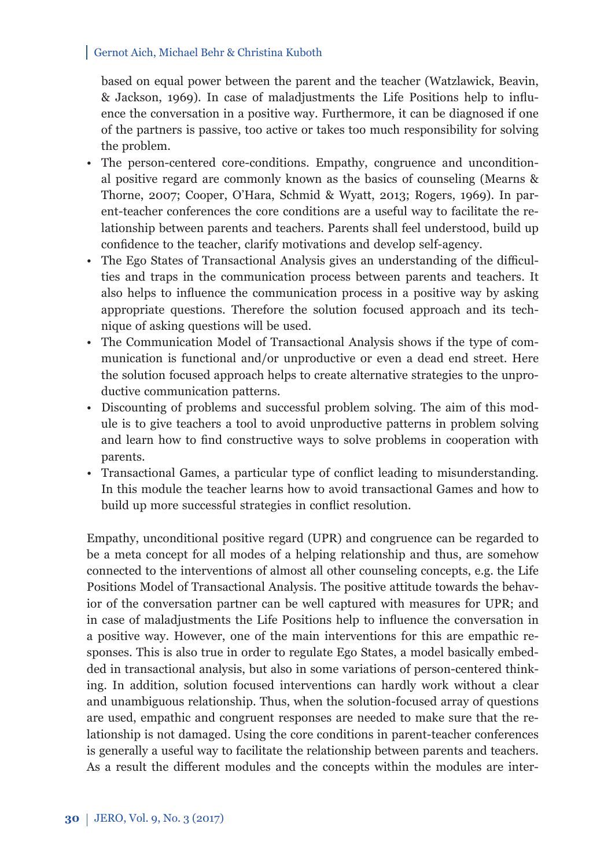based on equal power between the parent and the teacher (Watzlawick, Beavin, & Jackson, 1969). In case of maladjustments the Life Positions help to influence the conversation in a positive way. Furthermore, it can be diagnosed if one of the partners is passive, too active or takes too much responsibility for solving the problem.

- The person-centered core-conditions. Empathy, congruence and unconditional positive regard are commonly known as the basics of counseling (Mearns & Thorne, 2007; Cooper, O'Hara, Schmid & Wyatt, 2013; Rogers, 1969). In parent-teacher conferences the core conditions are a useful way to facilitate the relationship between parents and teachers. Parents shall feel understood, build up confidence to the teacher, clarify motivations and develop self-agency.
- The Ego States of Transactional Analysis gives an understanding of the difficulties and traps in the communication process between parents and teachers. It also helps to influence the communication process in a positive way by asking appropriate questions. Therefore the solution focused approach and its technique of asking questions will be used.
- The Communication Model of Transactional Analysis shows if the type of communication is functional and/or unproductive or even a dead end street. Here the solution focused approach helps to create alternative strategies to the unproductive communication patterns.
- Discounting of problems and successful problem solving. The aim of this module is to give teachers a tool to avoid unproductive patterns in problem solving and learn how to find constructive ways to solve problems in cooperation with parents.
- Transactional Games, a particular type of conflict leading to misunderstanding. In this module the teacher learns how to avoid transactional Games and how to build up more successful strategies in conflict resolution.

Empathy, unconditional positive regard (UPR) and congruence can be regarded to be a meta concept for all modes of a helping relationship and thus, are somehow connected to the interventions of almost all other counseling concepts, e.g. the Life Positions Model of Transactional Analysis. The positive attitude towards the behavior of the conversation partner can be well captured with measures for UPR; and in case of maladjustments the Life Positions help to influence the conversation in a positive way. However, one of the main interventions for this are empathic responses. This is also true in order to regulate Ego States, a model basically embedded in transactional analysis, but also in some variations of person-centered thinking. In addition, solution focused interventions can hardly work without a clear and unambiguous relationship. Thus, when the solution-focused array of questions are used, empathic and congruent responses are needed to make sure that the relationship is not damaged. Using the core conditions in parent-teacher conferences is generally a useful way to facilitate the relationship between parents and teachers. As a result the different modules and the concepts within the modules are inter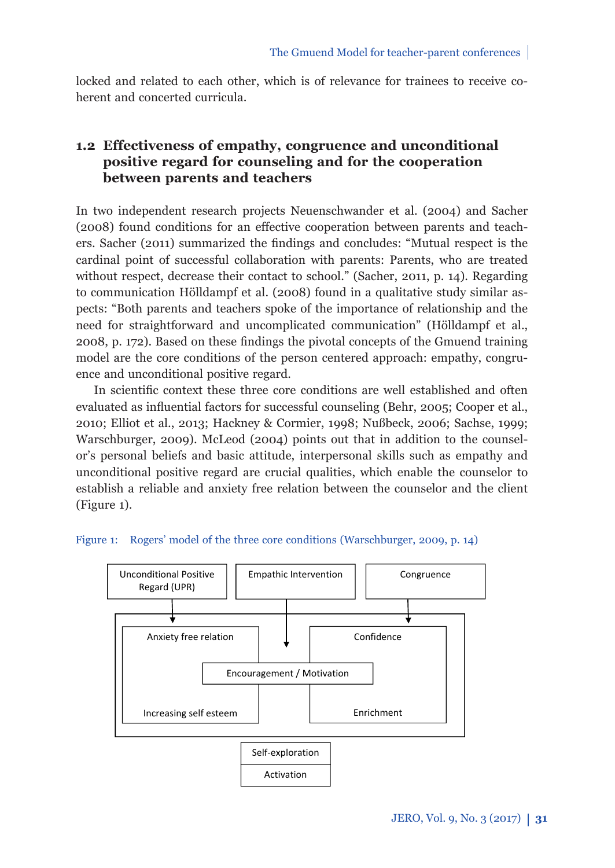locked and related to each other, which is of relevance for trainees to receive coherent and concerted curricula.

## **1.2 Eff ectiveness of empathy, congruence and unconditional positive regard for counseling and for the cooperation between parents and teachers**

In two independent research projects Neuenschwander et al. (2004) and Sacher (2008) found conditions for an effective cooperation between parents and teachers. Sacher (2011) summarized the findings and concludes: "Mutual respect is the cardinal point of successful collaboration with parents: Parents, who are treated without respect, decrease their contact to school." (Sacher, 2011, p. 14). Regarding to communication Hölldampf et al. (2008) found in a qualitative study similar aspects: "Both parents and teachers spoke of the importance of relationship and the need for straightforward and uncomplicated communication" (Hölldampf et al., 2008, p. 172). Based on these findings the pivotal concepts of the Gmuend training model are the core conditions of the person centered approach: empathy, congruence and unconditional positive regard.

In scientific context these three core conditions are well established and often evaluated as influential factors for successful counseling (Behr, 2005; Cooper et al., 2010; Elliot et al., 2013; Hackney & Cormier, 1998; Nußbeck, 2006; Sachse, 1999; Warschburger, 2009). McLeod (2004) points out that in addition to the counselor's personal beliefs and basic attitude, interpersonal skills such as empathy and unconditional positive regard are crucial qualities, which enable the counselor to establish a reliable and anxiety free relation between the counselor and the client (Figure 1).



#### Figure 1: Rogers' model of the three core conditions (Warschburger, 2009, p. 14)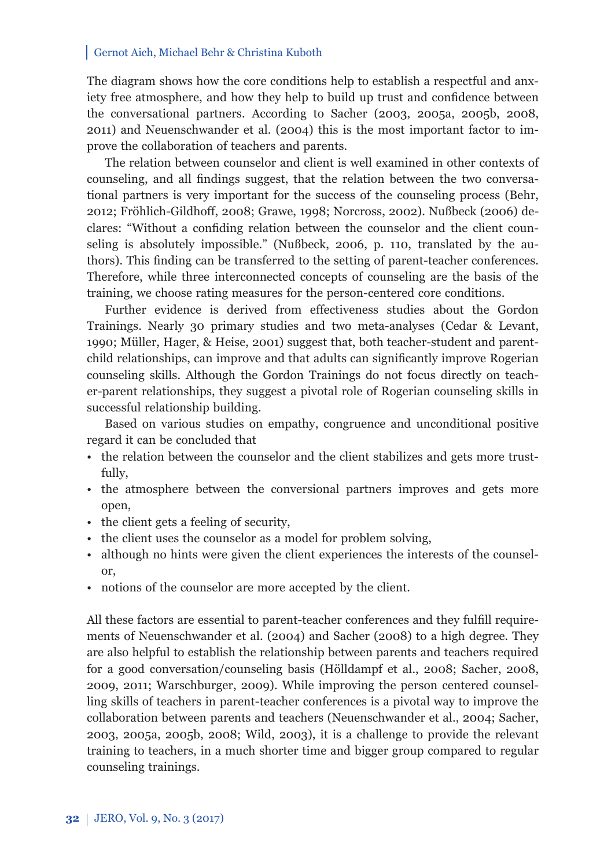The diagram shows how the core conditions help to establish a respectful and anxiety free atmosphere, and how they help to build up trust and confidence between the conversational partners. According to Sacher (2003, 2005a, 2005b, 2008, 2011) and Neuenschwander et al. (2004) this is the most important factor to improve the collaboration of teachers and parents.

The relation between counselor and client is well examined in other contexts of counseling, and all findings suggest, that the relation between the two conversational partners is very important for the success of the counseling process (Behr, 2012; Fröhlich-Gildhoff , 2008; Grawe, 1998; Norcross, 2002). Nußbeck (2006) declares: "Without a confiding relation between the counselor and the client counseling is absolutely impossible." (Nußbeck, 2006, p. 110, translated by the authors). This finding can be transferred to the setting of parent-teacher conferences. Therefore, while three interconnected concepts of counseling are the basis of the training, we choose rating measures for the person-centered core conditions.

Further evidence is derived from effectiveness studies about the Gordon Trainings. Nearly 30 primary studies and two meta-analyses (Cedar & Levant, 1990; Müller, Hager, & Heise, 2001) suggest that, both teacher-student and parentchild relationships, can improve and that adults can significantly improve Rogerian counseling skills. Although the Gordon Trainings do not focus directly on teacher-parent relationships, they suggest a pivotal role of Rogerian counseling skills in successful relationship building.

Based on various studies on empathy, congruence and unconditional positive regard it can be concluded that

- the relation between the counselor and the client stabilizes and gets more trustfully,
- the atmosphere between the conversional partners improves and gets more open,
- the client gets a feeling of security,
- the client uses the counselor as a model for problem solving,
- although no hints were given the client experiences the interests of the counselor,
- notions of the counselor are more accepted by the client.

All these factors are essential to parent-teacher conferences and they fulfill requirements of Neuenschwander et al. (2004) and Sacher (2008) to a high degree. They are also helpful to establish the relationship between parents and teachers required for a good conversation/counseling basis (Hölldampf et al., 2008; Sacher, 2008, 2009, 2011; Warschburger, 2009). While improving the person centered counselling skills of teachers in parent-teacher conferences is a pivotal way to improve the collaboration between parents and teachers (Neuenschwander et al., 2004; Sacher, 2003, 2005a, 2005b, 2008; Wild, 2003), it is a challenge to provide the relevant training to teachers, in a much shorter time and bigger group compared to regular counseling trainings.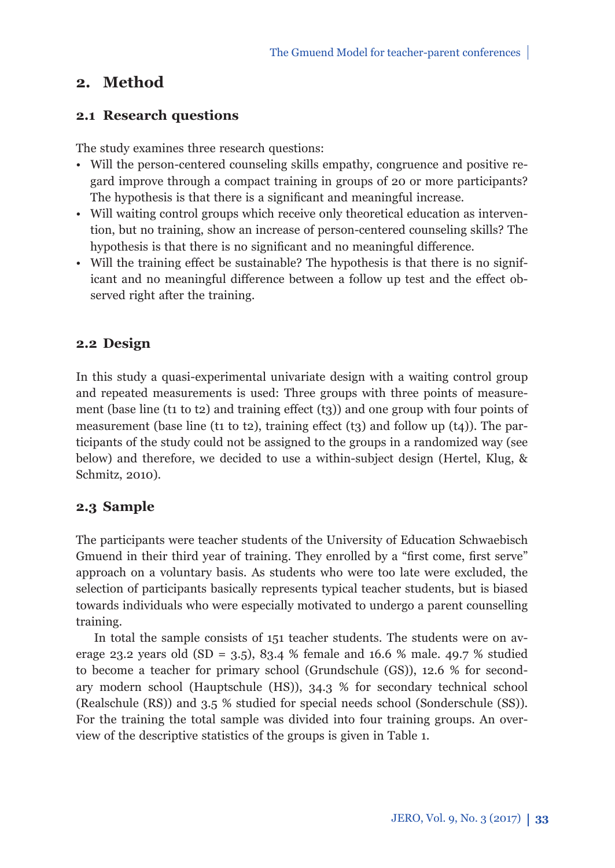## **2. Method**

### **2.1 Research questions**

The study examines three research questions:

- Will the person-centered counseling skills empathy, congruence and positive regard improve through a compact training in groups of 20 or more participants? The hypothesis is that there is a significant and meaningful increase.
- Will waiting control groups which receive only theoretical education as intervention, but no training, show an increase of person-centered counseling skills? The hypothesis is that there is no significant and no meaningful difference.
- Will the training effect be sustainable? The hypothesis is that there is no significant and no meaningful difference between a follow up test and the effect observed right after the training.

## **2.2 Design**

In this study a quasi-experimental univariate design with a waiting control group and repeated measurements is used: Three groups with three points of measurement (base line ( $t_1$  to  $t_2$ ) and training effect  $(t_3)$ ) and one group with four points of measurement (base line (t1 to t2), training effect (t3) and follow up (t4)). The participants of the study could not be assigned to the groups in a randomized way (see below) and therefore, we decided to use a within-subject design (Hertel, Klug, & Schmitz, 2010).

## **2.3 Sample**

The participants were teacher students of the University of Education Schwaebisch Gmuend in their third year of training. They enrolled by a "first come, first serve" approach on a voluntary basis. As students who were too late were excluded, the selection of participants basically represents typical teacher students, but is biased towards individuals who were especially motivated to undergo a parent counselling training.

In total the sample consists of 151 teacher students. The students were on average 23.2 years old  $(SD = 3.5)$ , 83.4 % female and 16.6 % male. 49.7 % studied to become a teacher for primary school (Grundschule (GS)), 12.6 % for secondary modern school (Hauptschule (HS)), 34.3 % for secondary technical school (Realschule (RS)) and 3.5 % studied for special needs school (Sonderschule (SS)). For the training the total sample was divided into four training groups. An overview of the descriptive statistics of the groups is given in Table 1.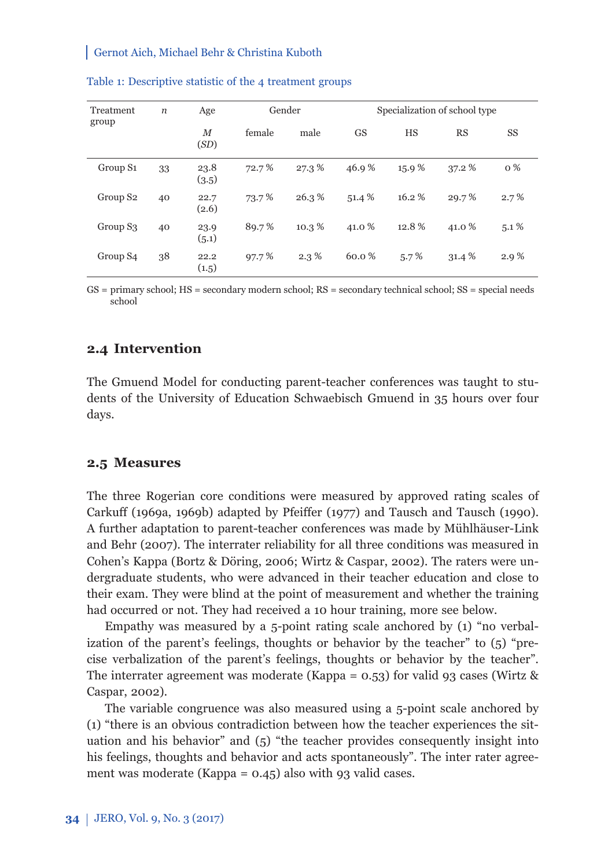| Treatment<br>group   | $\boldsymbol{n}$ | Age            | Gender |         | Specialization of school type |         |        |           |
|----------------------|------------------|----------------|--------|---------|-------------------------------|---------|--------|-----------|
|                      |                  | $_{M}$<br>(SD) | female | male    | <b>GS</b>                     | HS      | RS     | <b>SS</b> |
| Group S <sub>1</sub> | 33               | 23.8<br>(3.5)  | 72.7%  | 27.3%   | 46.9%                         | 15.9%   | 37.2 % | $0\%$     |
| Group S <sub>2</sub> | 40               | 22.7<br>(2.6)  | 73.7%  | 26.3%   | 51.4 %                        | 16.2%   | 29.7%  | 2.7%      |
| Group S <sub>3</sub> | 40               | 23.9<br>(5.1)  | 89.7%  | 10.3%   | 41.0 %                        | 12.8%   | 41.0 % | $5.1\%$   |
| Group S4             | 38               | 22.2<br>(1.5)  | 97.7%  | $2.3\%$ | 60.0%                         | $5.7\%$ | 31.4 % | 2.9%      |

#### Table 1: Descriptive statistic of the 4 treatment groups

GS = primary school; HS = secondary modern school; RS = secondary technical school; SS = special needs school

#### **2.4 Intervention**

The Gmuend Model for conducting parent-teacher conferences was taught to students of the University of Education Schwaebisch Gmuend in 35 hours over four days.

#### **2.5 Measures**

The three Rogerian core conditions were measured by approved rating scales of Carkuff (1969a, 1969b) adapted by Pfeiffer (1977) and Tausch and Tausch (1990). A further adaptation to parent-teacher conferences was made by Mühlhäuser-Link and Behr (2007). The interrater reliability for all three conditions was measured in Cohen's Kappa (Bortz & Döring, 2006; Wirtz & Caspar, 2002). The raters were undergraduate students, who were advanced in their teacher education and close to their exam. They were blind at the point of measurement and whether the training had occurred or not. They had received a 10 hour training, more see below.

Empathy was measured by a 5-point rating scale anchored by (1) "no verbalization of the parent's feelings, thoughts or behavior by the teacher" to (5) "precise verbalization of the parent's feelings, thoughts or behavior by the teacher". The interrater agreement was moderate (Kappa =  $0.53$ ) for valid 93 cases (Wirtz & Caspar, 2002).

The variable congruence was also measured using a 5-point scale anchored by (1) "there is an obvious contradiction between how the teacher experiences the situation and his behavior" and (5) "the teacher provides consequently insight into his feelings, thoughts and behavior and acts spontaneously". The inter rater agreement was moderate (Kappa = 0.45) also with 93 valid cases.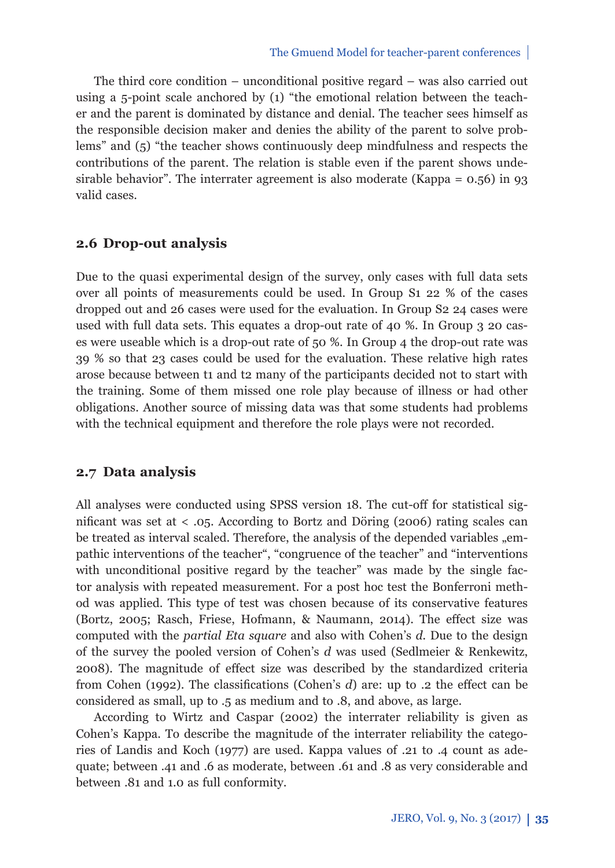The third core condition – unconditional positive regard – was also carried out using a 5-point scale anchored by (1) "the emotional relation between the teacher and the parent is dominated by distance and denial. The teacher sees himself as the responsible decision maker and denies the ability of the parent to solve problems" and (5) "the teacher shows continuously deep mindfulness and respects the contributions of the parent. The relation is stable even if the parent shows undesirable behavior". The interrater agreement is also moderate (Kappa =  $0.56$ ) in 93 valid cases.

### **2.6 Drop-out analysis**

Due to the quasi experimental design of the survey, only cases with full data sets over all points of measurements could be used. In Group S1 22 % of the cases dropped out and 26 cases were used for the evaluation. In Group S2 24 cases were used with full data sets. This equates a drop-out rate of 40 %. In Group 3 20 cases were useable which is a drop-out rate of 50 %. In Group 4 the drop-out rate was 39 % so that 23 cases could be used for the evaluation. These relative high rates arose because between t1 and t2 many of the participants decided not to start with the training. Some of them missed one role play because of illness or had other obligations. Another source of missing data was that some students had problems with the technical equipment and therefore the role plays were not recorded.

### **2.7 Data analysis**

All analyses were conducted using SPSS version 18. The cut-off for statistical significant was set at  $\langle .05.$  According to Bortz and Döring (2006) rating scales can be treated as interval scaled. Therefore, the analysis of the depended variables "empathic interventions of the teacher", "congruence of the teacher" and "interventions with unconditional positive regard by the teacher" was made by the single factor analysis with repeated measurement. For a post hoc test the Bonferroni method was applied. This type of test was chosen because of its conservative features (Bortz, 2005; Rasch, Friese, Hofmann, & Naumann, 2014). The effect size was computed with the *partial Eta square* and also with Cohen's *d.* Due to the design of the survey the pooled version of Cohen's *d* was used (Sedlmeier & Renkewitz, 2008). The magnitude of effect size was described by the standardized criteria from Cohen (1992). The classifications (Cohen's  $d$ ) are: up to .2 the effect can be considered as small, up to .5 as medium and to .8, and above, as large.

According to Wirtz and Caspar (2002) the interrater reliability is given as Cohen's Kappa. To describe the magnitude of the interrater reliability the categories of Landis and Koch (1977) are used. Kappa values of .21 to .4 count as adequate; between .41 and .6 as moderate, between .61 and .8 as very considerable and between .81 and 1.0 as full conformity.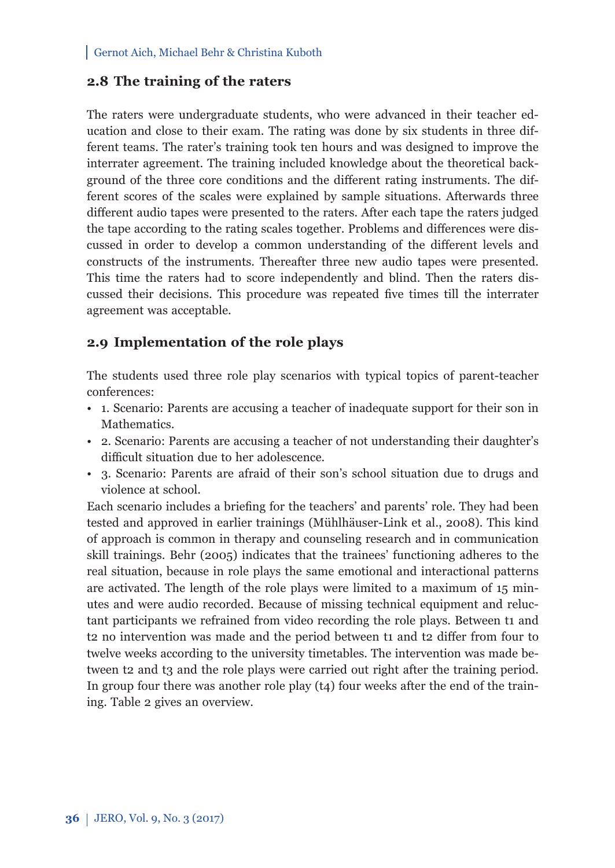#### **2.8 The training of the raters**

The raters were undergraduate students, who were advanced in their teacher education and close to their exam. The rating was done by six students in three different teams. The rater's training took ten hours and was designed to improve the interrater agreement. The training included knowledge about the theoretical background of the three core conditions and the different rating instruments. The different scores of the scales were explained by sample situations. Afterwards three different audio tapes were presented to the raters. After each tape the raters judged the tape according to the rating scales together. Problems and differences were discussed in order to develop a common understanding of the different levels and constructs of the instruments. Thereafter three new audio tapes were presented. This time the raters had to score independently and blind. Then the raters discussed their decisions. This procedure was repeated five times till the interrater agreement was acceptable.

### **2.9 Implementation of the role plays**

The students used three role play scenarios with typical topics of parent-teacher conferences:

- 1. Scenario: Parents are accusing a teacher of inadequate support for their son in Mathematics.
- 2. Scenario: Parents are accusing a teacher of not understanding their daughter's difficult situation due to her adolescence.
- 3. Scenario: Parents are afraid of their son's school situation due to drugs and violence at school.

Each scenario includes a briefing for the teachers' and parents' role. They had been tested and approved in earlier trainings (Mühlhäuser-Link et al., 2008). This kind of approach is common in therapy and counseling research and in communication skill trainings. Behr (2005) indicates that the trainees' functioning adheres to the real situation, because in role plays the same emotional and interactional patterns are activated. The length of the role plays were limited to a maximum of 15 minutes and were audio recorded. Because of missing technical equipment and reluctant participants we refrained from video recording the role plays. Between t1 and t2 no intervention was made and the period between t1 and t2 differ from four to twelve weeks according to the university timetables. The intervention was made between t2 and t3 and the role plays were carried out right after the training period. In group four there was another role play  $(t<sub>4</sub>)$  four weeks after the end of the training. Table 2 gives an overview.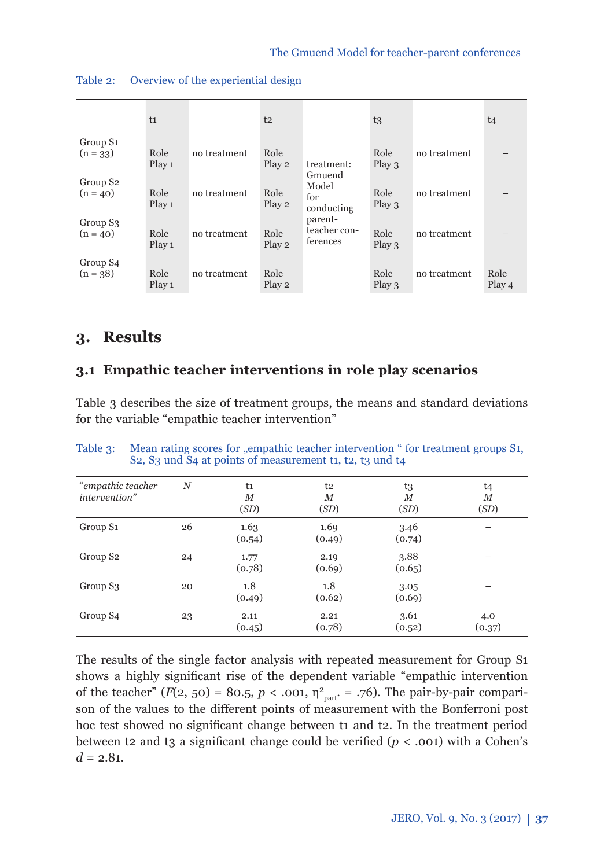|                                    | t <sub>1</sub> |              | t2             |                                     | t3                        |              | t4             |
|------------------------------------|----------------|--------------|----------------|-------------------------------------|---------------------------|--------------|----------------|
| Group S <sub>1</sub><br>$(n = 33)$ | Role<br>Play 1 | no treatment | Role<br>Play 2 | treatment:<br>Gmuend                | Role<br>Play $3$          | no treatment |                |
| Group S <sub>2</sub><br>$(n = 40)$ | Role<br>Play 1 | no treatment | Role<br>Play 2 | Model<br>for<br>conducting          | Role<br>Play 3            | no treatment |                |
| Group S <sub>3</sub><br>$(n = 40)$ | Role<br>Play 1 | no treatment | Role<br>Play 2 | parent-<br>teacher con-<br>ferences | Role<br>Play 3            | no treatment |                |
| Group S <sub>4</sub><br>$(n = 38)$ | Role<br>Play 1 | no treatment | Role<br>Play 2 |                                     | Role<br>Play <sub>3</sub> | no treatment | Role<br>Play 4 |

| Table 2: | Overview of the experiential design |  |
|----------|-------------------------------------|--|
|----------|-------------------------------------|--|

## **3. Results**

## **3.1 Empathic teacher interventions in role play scenarios**

Table 3 describes the size of treatment groups, the means and standard deviations for the variable "empathic teacher intervention"

| "empathic teacher<br>intervention" | $\boldsymbol{N}$ | t1<br>М<br>(SD) | t2<br>М<br>(SD) | t3<br>М<br>(SD) | t4<br>М<br>(SD) |
|------------------------------------|------------------|-----------------|-----------------|-----------------|-----------------|
| Group S <sub>1</sub>               | 26               | 1.63<br>(0.54)  | 1.69<br>(0.49)  | 3.46<br>(0.74)  |                 |
| Group S <sub>2</sub>               | 24               | 1.77<br>(0.78)  | 2.19<br>(0.69)  | 3.88<br>(0.65)  |                 |
| Group S <sub>3</sub>               | 20               | 1.8<br>(0.49)   | 1.8<br>(0.62)   | 3.05<br>(0.69)  |                 |
| Group S <sub>4</sub>               | 23               | 2.11<br>(0.45)  | 2.21<br>(0.78)  | 3.61<br>(0.52)  | 4.0<br>(0.37)   |

Table 3: Mean rating scores for "empathic teacher intervention " for treatment groups S1, S2, S3 und S4 at points of measurement t1, t2, t3 und t4

The results of the single factor analysis with repeated measurement for Group S1 shows a highly significant rise of the dependent variable "empathic intervention of the teacher"  $(F(2, 50) = 80.5, p < .001, \eta^2_{part.} = .76)$ . The pair-by-pair comparison of the values to the different points of measurement with the Bonferroni post hoc test showed no significant change between t1 and t2. In the treatment period between t2 and t3 a significant change could be verified  $(p < .001)$  with a Cohen's  $d = 2.81$ .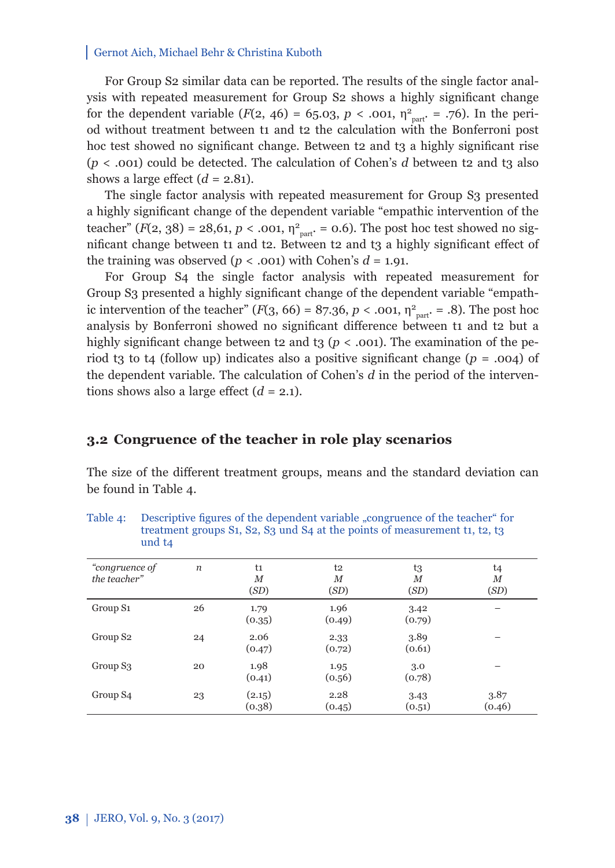For Group S2 similar data can be reported. The results of the single factor analysis with repeated measurement for Group S2 shows a highly significant change for the dependent variable  $(F(2, 46) = 65.03, p < .001, \eta_{part}^2 = .76)$ . In the period without treatment between t1 and t2 the calculation with the Bonferroni post hoc test showed no significant change. Between t2 and t3 a highly significant rise  $(p < .001)$  could be detected. The calculation of Cohen's *d* between t2 and t3 also shows a large effect  $(d = 2.81)$ .

The single factor analysis with repeated measurement for Group S3 presented a highly significant change of the dependent variable "empathic intervention of the teacher"  $(F(2, 38) = 28, 61, p < .001, \eta_{part}^2 = 0.6)$ . The post hoc test showed no significant change between t1 and t2. Between t2 and t3 a highly significant effect of the training was observed  $(p < .001)$  with Cohen's  $d = 1.91$ .

For Group S4 the single factor analysis with repeated measurement for Group S3 presented a highly significant change of the dependent variable "empathic intervention of the teacher"  $(F(3, 66) = 87.36, p < .001, \eta^2_{part.} = .8)$ . The post hoc analysis by Bonferroni showed no significant difference between t1 and t2 but a highly significant change between t2 and t<sub>3</sub> ( $p < .001$ ). The examination of the period t<sub>3</sub> to t<sub>4</sub> (follow up) indicates also a positive significant change ( $p = .004$ ) of the dependent variable. The calculation of Cohen's *d* in the period of the interventions shows also a large effect  $(d = 2.1)$ .

#### **3.2 Congruence of the teacher in role play scenarios**

The size of the different treatment groups, means and the standard deviation can be found in Table 4.

| "congruence of<br>the teacher" | n  | t1<br>М<br>(SD)  | t2<br>М<br>(SD) | t3<br>М<br>(SD) | t4<br>М<br>(SD) |
|--------------------------------|----|------------------|-----------------|-----------------|-----------------|
| Group S <sub>1</sub>           | 26 | 1.79<br>(0.35)   | 1.96<br>(0.49)  | 3.42<br>(0.79)  |                 |
| Group S <sub>2</sub>           | 24 | 2.06<br>(0.47)   | 2.33<br>(0.72)  | 3.89<br>(0.61)  |                 |
| Group S <sub>3</sub>           | 20 | 1.98<br>(0.41)   | 1.95<br>(0.56)  | 3.0<br>(0.78)   |                 |
| Group S <sub>4</sub>           | 23 | (2.15)<br>(0.38) | 2.28<br>(0.45)  | 3.43<br>(0.51)  | 3.87<br>(0.46)  |

Table 4: Descriptive figures of the dependent variable "congruence of the teacher" for treatment groups S1, S2, S3 und S4 at the points of measurement t1, t2, t3 und t4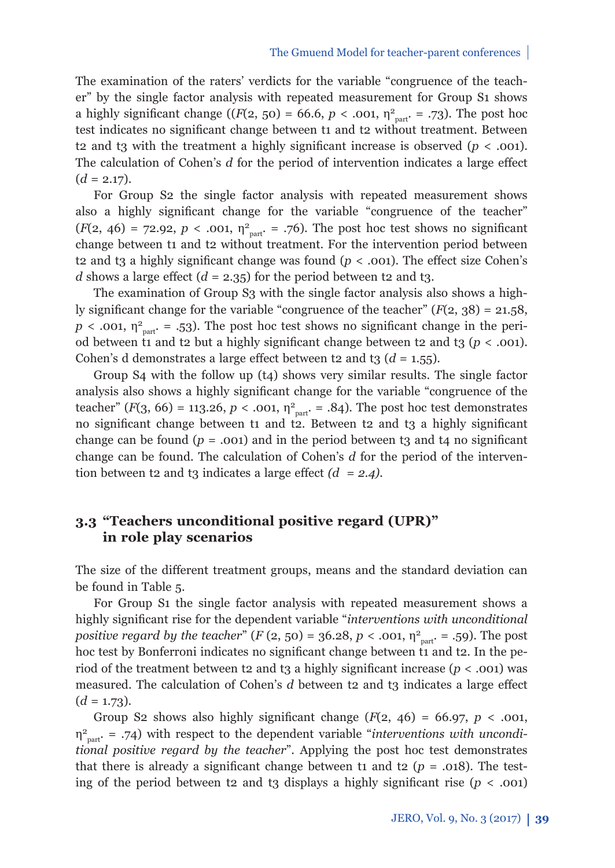The examination of the raters' verdicts for the variable "congruence of the teacher" by the single factor analysis with repeated measurement for Group S1 shows a highly significant change ( $(F(2, 50) = 66.6, p < .001, \eta_{part}^2 = .73)$ ). The post hoc test indicates no significant change between t1 and t2 without treatment. Between t2 and t3 with the treatment a highly significant increase is observed  $(p < .001)$ . The calculation of Cohen's *d* for the period of intervention indicates a large effect  $(d = 2.17)$ .

For Group S2 the single factor analysis with repeated measurement shows also a highly significant change for the variable "congruence of the teacher"  $(F(2, 46) = 72.92, p < .001, \eta^2_{part.} = .76)$ . The post hoc test shows no significant change between t1 and t2 without treatment. For the intervention period between t2 and t3 a highly significant change was found  $(p < .001)$ . The effect size Cohen's *d* shows a large effect  $(d = 2.35)$  for the period between t2 and t3.

The examination of Group S3 with the single factor analysis also shows a highly significant change for the variable "congruence of the teacher"  $(F(2, 38) = 21.58$ ,  $p < .001$ ,  $\eta_{part}^2 = .53$ ). The post hoc test shows no significant change in the period between t1 and t2 but a highly significant change between t2 and t3 ( $p < .001$ ). Cohen's d demonstrates a large effect between t2 and t3  $(d = 1.55)$ .

Group S4 with the follow up (t4) shows very similar results. The single factor analysis also shows a highly significant change for the variable "congruence of the teacher"  $(F(3, 66) = 113.26, p < .001, \eta_{part}^2 = .84)$ . The post hoc test demonstrates no significant change between t1 and t2. Between t2 and t3 a highly significant change can be found  $(p = .001)$  and in the period between t3 and t4 no significant change can be found. The calculation of Cohen's *d* for the period of the intervention between t2 and t3 indicates a large effect  $(d = 2.4)$ .

## **3.3 "Teachers unconditional positive regard (UPR)" in role play scenarios**

The size of the different treatment groups, means and the standard deviation can be found in Table 5.

For Group S1 the single factor analysis with repeated measurement shows a highly significant rise for the dependent variable "*interventions with unconditional positive regard by the teacher*"  $(F (2, 50) = 36.28, p < .001, \eta_{part}^2 = .59)$ . The post hoc test by Bonferroni indicates no significant change between t1 and t2. In the period of the treatment between t2 and t3 a highly significant increase  $(p < .001)$  was measured. The calculation of Cohen's *d* between t2 and t3 indicates a large effect  $(d = 1.73)$ .

Group S2 shows also highly significant change  $(F(2, 46) = 66.97, p < .001,$ η2 part. = .74) with respect to the dependent variable "*interventions with unconditional positive regard by the teacher*". Applying the post hoc test demonstrates that there is already a significant change between t1 and t2 ( $p = .018$ ). The testing of the period between t2 and t3 displays a highly significant rise  $(p < .001)$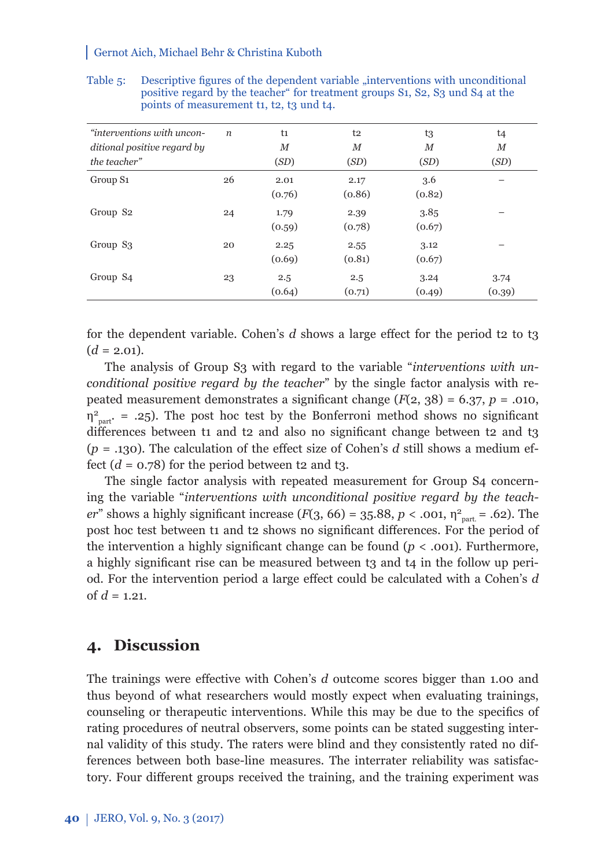| "interventions with uncon-  | $\boldsymbol{n}$ | t1     | t2     | t3     | t4     |
|-----------------------------|------------------|--------|--------|--------|--------|
| ditional positive regard by |                  | $_{M}$ | М      | $_{M}$ | $_{M}$ |
| the teacher"                |                  | (SD)   | (SD)   | (SD)   | (SD)   |
| Group S <sub>1</sub>        | 26               | 2.01   | 2.17   | 3.6    |        |
|                             |                  | (0.76) | (0.86) | (0.82) |        |
| Group S <sub>2</sub>        | 24               | 1.79   | 2.39   | 3.85   |        |
|                             |                  | (0.59) | (0.78) | (0.67) |        |
| Group S <sub>3</sub>        | 20               | 2.25   | 2.55   | 3.12   |        |
|                             |                  | (0.69) | (0.81) | (0.67) |        |
| Group S <sub>4</sub>        | 23               | 2.5    | 2.5    | 3.24   | 3.74   |
|                             |                  | (0.64) | (0.71) | (0.49) | (0.39) |

Table 5: Descriptive figures of the dependent variable "interventions with unconditional positive regard by the teacher" for treatment groups S1, S2, S3 und S4 at the points of measurement t1, t2, t3 und t4.

for the dependent variable. Cohen's  $d$  shows a large effect for the period t2 to t3  $(d = 2.01)$ .

The analysis of Group S3 with regard to the variable "*interventions with unconditional positive regard by the teacher*" by the single factor analysis with repeated measurement demonstrates a significant change  $(F(2, 38) = 6.37, p = .010,$  $\eta_{part}^2$  = .25). The post hoc test by the Bonferroni method shows no significant differences between t1 and t2 and also no significant change between t2 and t3  $(p = .130)$ . The calculation of the effect size of Cohen's *d* still shows a medium effect  $(d = 0.78)$  for the period between t2 and t<sub>3</sub>.

The single factor analysis with repeated measurement for Group S4 concerning the variable "*interventions with unconditional positive regard by the teacher*" shows a highly significant increase (*F*(3, 66) = 35.88, *p* < .001,  $\eta_{part}^2$  = .62). The post hoc test between t1 and t2 shows no significant differences. For the period of the intervention a highly significant change can be found  $(p < .001)$ . Furthermore, a highly significant rise can be measured between t3 and t4 in the follow up period. For the intervention period a large effect could be calculated with a Cohen's d of  $d = 1.21$ .

## **4. Discussion**

The trainings were effective with Cohen's *d* outcome scores bigger than 1.00 and thus beyond of what researchers would mostly expect when evaluating trainings, counseling or therapeutic interventions. While this may be due to the specifics of rating procedures of neutral observers, some points can be stated suggesting internal validity of this study. The raters were blind and they consistently rated no differences between both base-line measures. The interrater reliability was satisfactory. Four different groups received the training, and the training experiment was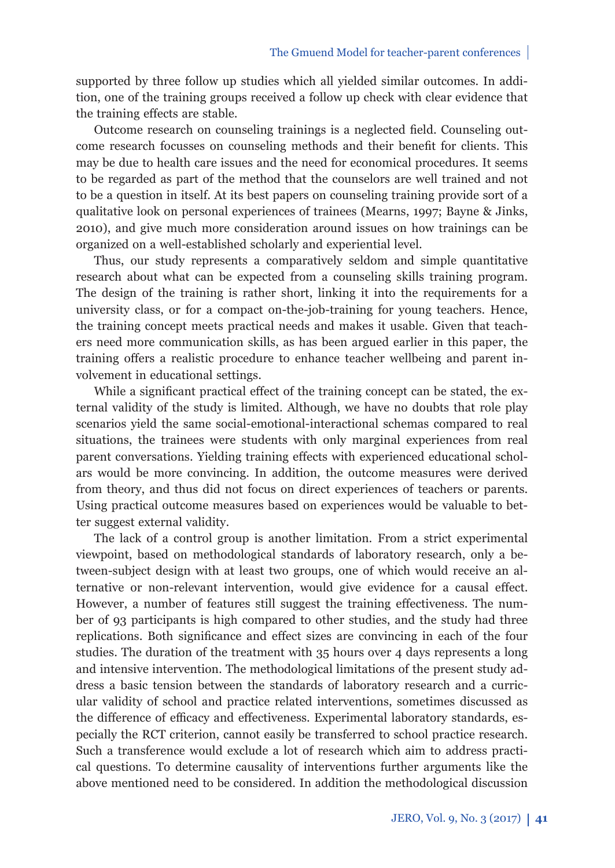supported by three follow up studies which all yielded similar outcomes. In addition, one of the training groups received a follow up check with clear evidence that the training effects are stable.

Outcome research on counseling trainings is a neglected field. Counseling outcome research focusses on counseling methods and their benefit for clients. This may be due to health care issues and the need for economical procedures. It seems to be regarded as part of the method that the counselors are well trained and not to be a question in itself. At its best papers on counseling training provide sort of a qualitative look on personal experiences of trainees (Mearns, 1997; Bayne & Jinks, 2010), and give much more consideration around issues on how trainings can be organized on a well-established scholarly and experiential level.

Thus, our study represents a comparatively seldom and simple quantitative research about what can be expected from a counseling skills training program. The design of the training is rather short, linking it into the requirements for a university class, or for a compact on-the-job-training for young teachers. Hence, the training concept meets practical needs and makes it usable. Given that teachers need more communication skills, as has been argued earlier in this paper, the training offers a realistic procedure to enhance teacher wellbeing and parent involvement in educational settings.

While a significant practical effect of the training concept can be stated, the external validity of the study is limited. Although, we have no doubts that role play scenarios yield the same social-emotional-interactional schemas compared to real situations, the trainees were students with only marginal experiences from real parent conversations. Yielding training effects with experienced educational scholars would be more convincing. In addition, the outcome measures were derived from theory, and thus did not focus on direct experiences of teachers or parents. Using practical outcome measures based on experiences would be valuable to better suggest external validity.

The lack of a control group is another limitation. From a strict experimental viewpoint, based on methodological standards of laboratory research, only a between-subject design with at least two groups, one of which would receive an alternative or non-relevant intervention, would give evidence for a causal effect. However, a number of features still suggest the training effectiveness. The number of 93 participants is high compared to other studies, and the study had three replications. Both significance and effect sizes are convincing in each of the four studies. The duration of the treatment with 35 hours over 4 days represents a long and intensive intervention. The methodological limitations of the present study address a basic tension between the standards of laboratory research and a curricular validity of school and practice related interventions, sometimes discussed as the difference of efficacy and effectiveness. Experimental laboratory standards, especially the RCT criterion, cannot easily be transferred to school practice research. Such a transference would exclude a lot of research which aim to address practical questions. To determine causality of interventions further arguments like the above mentioned need to be considered. In addition the methodological discussion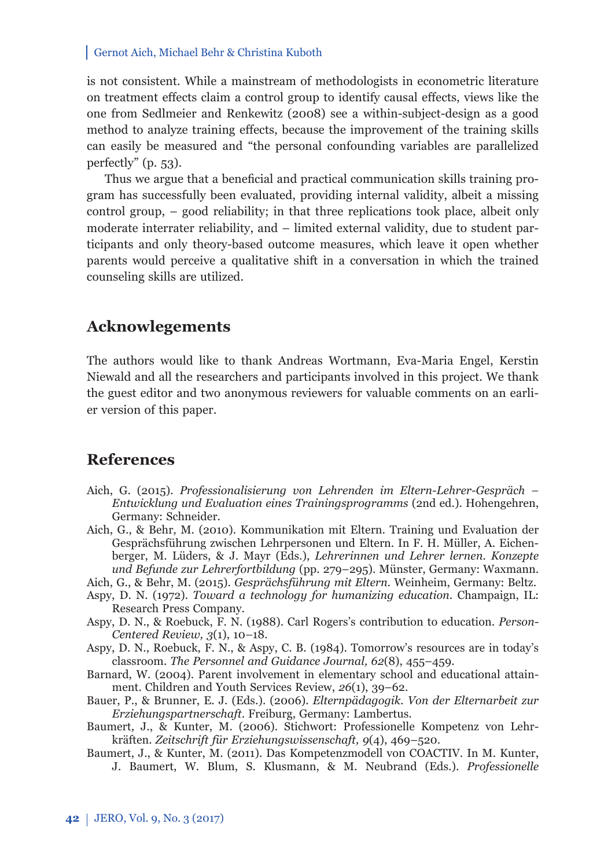is not consistent. While a mainstream of methodologists in econometric literature on treatment effects claim a control group to identify causal effects, views like the one from Sedlmeier and Renkewitz (2008) see a within-subject-design as a good method to analyze training effects, because the improvement of the training skills can easily be measured and "the personal confounding variables are parallelized perfectly" (p. 53).

Thus we argue that a beneficial and practical communication skills training program has successfully been evaluated, providing internal validity, albeit a missing control group, – good reliability; in that three replications took place, albeit only moderate interrater reliability, and – limited external validity, due to student participants and only theory-based outcome measures, which leave it open whether parents would perceive a qualitative shift in a conversation in which the trained counseling skills are utilized.

## **Acknowlegements**

The authors would like to thank Andreas Wortmann, Eva-Maria Engel, Kerstin Niewald and all the researchers and participants involved in this project. We thank the guest editor and two anonymous reviewers for valuable comments on an earlier version of this paper.

## **References**

- Aich, G. (2015). *Professionalisierung von Lehrenden im Eltern-Lehrer-Gespräch Entwicklung und Evaluation eines Trainingsprogramms* (2nd ed.). Hohengehren, Germany: Schneider.
- Aich, G., & Behr, M. (2010). Kommunikation mit Eltern. Training und Evaluation der Gesprächsführung zwischen Lehrpersonen und Eltern. In F. H. Müller, A. Eichenberger, M. Lüders, & J. Mayr (Eds.), *Lehrerinnen und Lehrer lernen. Konzepte und Befunde zur Lehrerfortbildung* (pp. 279–295). Münster, Germany: Waxmann.
- Aich, G., & Behr, M. (2015). *Gesprächsführung mit Eltern.* Weinheim, Germany: Beltz.
- Aspy, D. N. (1972). *Toward a technology for humanizing education*. Champaign, IL: Research Press Company.
- Aspy, D. N., & Roebuck, F. N. (1988). Carl Rogers's contribution to education. *Person-Centered Review, 3*(1), 10*–*18.
- Aspy, D. N., Roebuck, F. N., & Aspy, C. B. (1984). Tomorrow's resources are in today's classroom. *The Personnel and Guidance Journal, 62*(8), 455–459.
- Barnard, W. (2004). Parent involvement in elementary school and educational attainment. Children and Youth Services Review, *26*(1), 39–62.
- Bauer, P., & Brunner, E. J. (Eds.). (2006). *Elternpädagogik. Von der Elternarbeit zur Erziehungspartnerschaft*. Freiburg, Germany: Lambertus.
- Baumert, J., & Kunter, M. (2006). Stichwort: Professionelle Kompetenz von Lehrkräften. *Zeitschrift für Erziehungswissenschaft, 9*(4), 469–520.
- Baumert, J., & Kunter, M. (2011). Das Kompetenzmodell von COACTIV. In M. Kunter, J. Baumert, W. Blum, S. Klusmann, & M. Neubrand (Eds.). *Professionelle*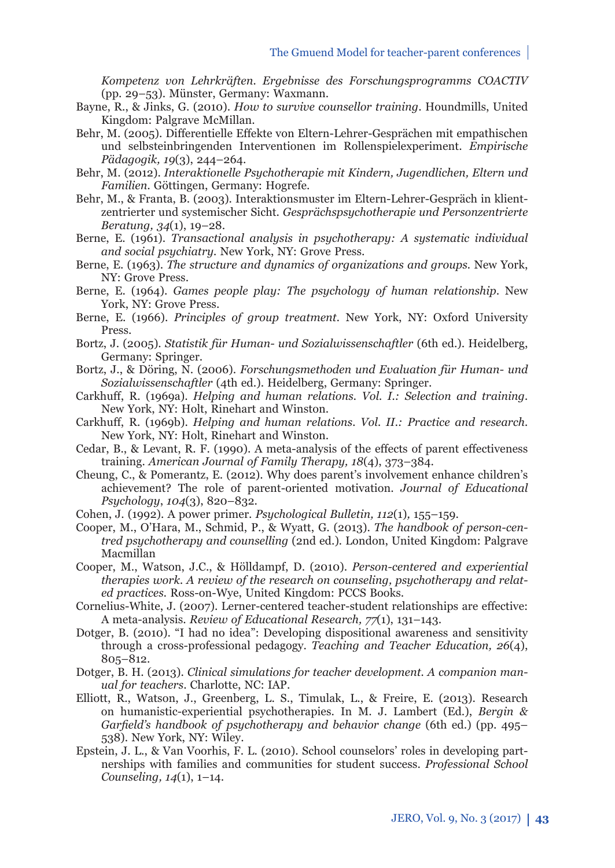*Kompetenz von Lehrkräften. Ergebnisse des Forschungsprogramms COACTIV*  (pp. 29*–*53). Münster, Germany: Waxmann.

- Bayne, R., & Jinks, G. (2010). *How to survive counsellor training*. Houndmills, United Kingdom: Palgrave McMillan.
- Behr, M. (2005). Differentielle Effekte von Eltern-Lehrer-Gesprächen mit empathischen und selbsteinbringenden Interventionen im Rollenspielexperiment. *Empirische Pädagogik, 19*(3), 244–264.
- Behr, M. (2012). *Interaktionelle Psychotherapie mit Kindern, Jugendlichen, Eltern und Familien.* Göttingen, Germany: Hogrefe.
- Behr, M., & Franta, B. (2003). Interaktionsmuster im Eltern-Lehrer-Gespräch in klientzentrierter und systemischer Sicht. *Gesprächspsychotherapie und Person zentrierte Beratung, 34*(1), 19–28.
- Berne, E. (1961). *Transactional analysis in psychotherapy: A systematic individual and social psychiatry.* New York, NY: Grove Press.
- Berne, E. (1963). *The structure and dynamics of organizations and groups.* New York, NY: Grove Press.
- Berne, E. (1964). *Games people play: The psychology of human relationship*. New York, NY: Grove Press.
- Berne, E. (1966). *Principles of group treatment.* New York, NY: Oxford University Press.
- Bortz, J. (2005). *Statistik für Human- und Sozialwissenschaftler* (6th ed.). Heidelberg, Germany: Springer.
- Bortz, J., & Döring, N. (2006). *Forschungsmethoden und Evaluation für Human- und Sozialwissenschaftler* (4th ed.). Heidelberg, Germany: Springer.
- Carkhuff, R. (1969a). *Helping and human relations. Vol. I.: Selection and training.* New York, NY: Holt, Rinehart and Winston.
- Carkhuff, R. (1969b). *Helping and human relations. Vol. II.: Practice and research.* New York, NY: Holt, Rinehart and Winston.
- Cedar, B., & Levant, R. F. (1990). A meta-analysis of the effects of parent effectiveness training. *American Journal of Family Therapy, 18*(4), 373–384.
- Cheung, C., & Pomerantz, E. (2012). Why does parent's involvement enhance children's achievement? The role of parent-oriented motivation. *Journal of Educational Psychology*, *104*(3), 820–832.
- Cohen, J. (1992). A power primer. *Psychological Bulletin, 112*(1)*,* 155–159.
- Cooper, M., O'Hara, M., Schmid, P., & Wyatt, G. (2013). *The handbook of person-centred psychotherapy and counselling* (2nd ed.)*.* London, United Kingdom: Palgrave Macmillan
- Cooper, M., Watson, J.C., & Hölldampf, D. (2010). *Person-centered and experiential therapies work. A review of the research on counseling, psychotherapy and related practices.* Ross-on-Wye, United Kingdom: PCCS Books.
- Cornelius-White, J. (2007). Lerner-centered teacher-student relationships are effective: A meta-analysis. *Review of Educational Research, 77*(1), 131–143.
- Dotger, B. (2010). "I had no idea": Developing dispositional awareness and sensitivity through a cross-professional pedagogy. *Teaching and Teacher Education, 26*(4), 805–812.
- Dotger, B. H. (2013). *Clinical simulations for teacher development. A companion manual for teachers*. Charlotte, NC: IAP.
- Elliott, R., Watson, J., Greenberg, L. S., Timulak, L., & Freire, E. (2013). Research on humanistic-experiential psychotherapies. In M. J. Lambert (Ed.), *Bergin &*  Garfield's handbook of psychotherapy and behavior change (6th ed.) (pp. 495– 538). New York, NY: Wiley.
- Epstein, J. L., & Van Voorhis, F. L. (2010). School counselors' roles in developing partnerships with families and communities for student success. *Professional School Counseling, 14*(1), 1–14.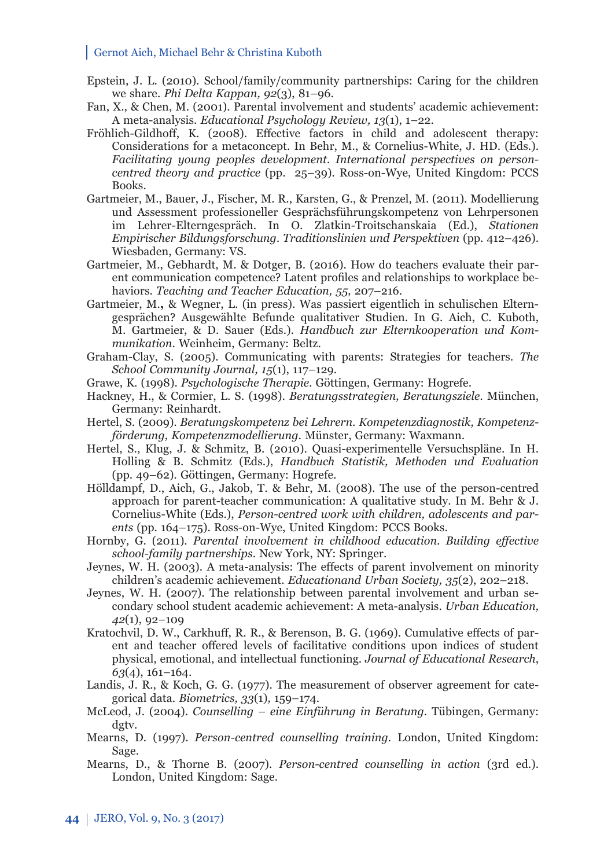- Epstein, J. L. (2010). School/family/community partnerships: Caring for the children we share. *Phi Delta Kappan, 92*(3), 81–96.
- Fan, X., & Chen, M. (2001). Parental involvement and students' academic achievement: A meta-analysis. *Educational Psychology Review, 13*(1), 1–22.
- Fröhlich-Gildhoff, K. (2008). Effective factors in child and adolescent therapy: Considerations for a metaconcept. In Behr, M., & Cornelius-White, J. HD. (Eds.). *Facilitating young peoples development. International perspectives on personcentred theory and practice* (pp. 25–39)*.* Ross-on-Wye, United Kingdom: PCCS Books.
- Gartmeier, M., Bauer, J., Fischer, M. R., Karsten, G., & Prenzel, M. (2011). Modellierung und Assessment professioneller Gesprächsführungskompetenz von Lehrpersonen im Lehrer-Elterngespräch. In O. Zlatkin-Troitschanskaia (Ed.), *Stationen Empirischer Bildungsforschung. Traditionslinien und Perspektiven* (pp. 412–426). Wiesbaden, Germany: VS.
- Gartmeier, M., Gebhardt, M. & Dotger, B. (2016). How do teachers evaluate their parent communication competence? Latent profiles and relationships to workplace behaviors. *Teaching and Teacher Education, 55,* 207–216.
- Gartmeier, M.**,** & Wegner, L. (in press). Was passiert eigentlich in schulischen Elterngesprächen? Ausgewählte Befunde qualitativer Studien. In G. Aich, C. Kuboth, M. Gartmeier, & D. Sauer (Eds.). *Handbuch zur Elternkooperation und Kommunikation*. Weinheim, Germany: Beltz.
- Graham-Clay, S. (2005). Communicating with parents: Strategies for teachers*. The School Community Journal, 15*(1), 117–129.
- Grawe, K. (1998). *Psychologische Therapie.* Göttingen, Germany: Hogrefe.
- Hackney, H., & Cormier, L. S. (1998). *Beratungsstrategien, Beratungsziele.* München, Germany: Reinhardt.
- Hertel, S. (2009). *Beratungskompetenz bei Lehrern. Kompetenzdiagnostik, Kompetenzförderung, Kompetenzmodellierung.* Münster, Germany: Waxmann.
- Hertel, S., Klug, J. & Schmitz, B. (2010). Quasi-experimentelle Versuchspläne. In H. Holling & B. Schmitz (Eds.), *Handbuch Statistik, Methoden und Evaluation*  (pp. 49–62)*.* Göttingen, Germany: Hogrefe.
- Hölldampf, D., Aich, G., Jakob, T. & Behr, M. (2008). The use of the person-centred approach for parent-teacher communication: A qualitative study. In M. Behr & J. Cornelius-White (Eds.), *Person-centred work with children, adolescents and parents* (pp. 164–175). Ross-on-Wye, United Kingdom: PCCS Books.
- Hornby, G. (2011). *Parental involvement in childhood education. Building eff ective school-family partnerships*. New York, NY: Springer.
- Jeynes, W. H. (2003). A meta-analysis: The effects of parent involvement on minority children's academic achievement. *Educationand Urban Society, 35*(2), 202–218.
- Jeynes, W. H. (2007). The relationship between parental involvement and urban secondary school student academic achievement: A meta-analysis. *Urban Education, 42*(1), 92–109
- Kratochvil, D. W., Carkhuff, R. R., & Berenson, B. G. (1969). Cumulative effects of parent and teacher offered levels of facilitative conditions upon indices of student physical, emotional, and intellectual functioning. *Journal of Educational Research*, *63*(4), 161–164.
- Landis, J. R., & Koch, G. G. (1977). The measurement of observer agreement for categorical data. *Biometrics, 33*(1)*,* 159–174.
- McLeod, J. (2004). *Counselling eine Einführung in Beratung.* Tübingen, Germany: dgtv.
- Mearns, D. (1997). *Person-centred counselling training.* London, United Kingdom: Sage.
- Mearns, D., & Thorne B. (2007). *Person-centred counselling in action* (3rd ed.). London, United Kingdom: Sage.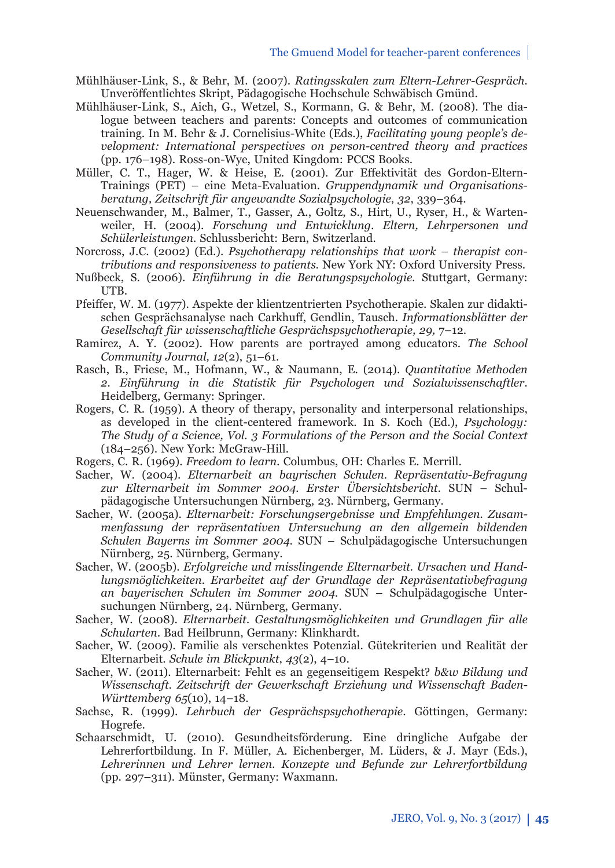- Mühlhäuser-Link, S., & Behr, M. (2007). *Ratingsskalen zum Eltern-Lehrer-Gespräch.*  Unveröffentlichtes Skript, Pädagogische Hochschule Schwäbisch Gmünd.
- Mühlhäuser-Link, S., Aich, G., Wetzel, S., Kormann, G. & Behr, M. (2008). The dialogue between teachers and parents: Concepts and outcomes of communication training. In M. Behr & J. Cornelisius-White (Eds.), *Facilitating young people's development: International perspectives on person-centred theory and practices* (pp. 176–198). Ross-on-Wye, United Kingdom: PCCS Books.
- Müller, C. T., Hager, W. & Heise, E. (2001). Zur Effektivität des Gordon-Eltern-Trainings (PET) – eine Meta-Evaluation. *Gruppendynamik und Organisationsberatung, Zeitschrift für angewandte Sozialpsychologie*, *32*, 339–364.
- Neuenschwander, M., Balmer, T., Gasser, A., Goltz, S., Hirt, U., Ryser, H., & Wartenweiler, H. (2004). *Forschung und Entwicklung. Eltern, Lehrpersonen und Schülerleistungen.* Schlussbericht: Bern, Switzerland.
- Norcross, J.C. (2002) (Ed.). *Psychotherapy relationships that work therapist contributions and responsiveness to patients.* New York NY: Oxford University Press.
- Nußbeck, S. (2006). *Einführung in die Beratungspsychologie.* Stuttgart, Germany: **ITR.**
- Pfeiffer, W. M. (1977). Aspekte der klientzentrierten Psychotherapie. Skalen zur didaktischen Gesprächsanalyse nach Carkhuff , Gendlin, Tausch. *Informationsblätter der Gesellschaft für wissenschaftliche Gesprächspsychotherapie, 29,* 7–12.
- Ramirez, A. Y. (2002). How parents are portrayed among educators. *The School Community Journal, 12*(2), 51–61.
- Rasch, B., Friese, M., Hofmann, W., & Naumann, E. (2014). *Quantitative Methoden 2. Einführung in die Statistik für Psychologen und Sozialwissenschaftler.* Heidelberg, Germany: Springer.
- Rogers, C. R. (1959). A theory of therapy, personality and interpersonal relationships, as developed in the client-centered framework. In S. Koch (Ed.), *Psychology: The Study of a Science, Vol. 3 Formulations of the Person and the Social Context* (184–256). New York: McGraw-Hill.
- Rogers, C. R. (1969). *Freedom to learn.* Columbus, OH: Charles E. Merrill.
- Sacher, W. (2004). *Elternarbeit an bayrischen Schulen. Repräsentativ-Befragung zur Elternarbeit im Sommer 2004. Erster Übersichtsbericht.* SUN – Schulpädagogische Untersuchungen Nürnberg, 23. Nürnberg, Germany.
- Sacher, W. (2005a). *Elternarbeit: Forschungsergebnisse und Empfehlungen. Zusammen fassung der repräsentativen Untersuchung an den allgemein bildenden Schulen Bayerns im Sommer 2004.* SUN – Schulpädagogische Untersuchungen Nürnberg, 25. Nürnberg, Germany.
- Sacher, W. (2005b). *Erfolgreiche und misslingende Elternarbeit. Ursachen und Handlungs möglichkeiten. Erarbeitet auf der Grundlage der Repräsentativbefragung an bayerischen Schulen im Sommer 2004.* SUN – Schulpädagogische Untersuchungen Nürnberg, 24. Nürnberg, Germany.
- Sacher, W. (2008). *Eltern arbeit. Gestaltungsmöglichkeiten und Grundlagen für alle Schularten*. Bad Heilbrunn, Germany: Klinkhardt.
- Sacher, W. (2009). Familie als verschenktes Potenzial. Gütekriterien und Realität der Elternarbeit. *Schule im Blickpunkt*, *43*(2), 4–10.
- Sacher, W. (2011). Elternarbeit: Fehlt es an gegenseitigem Respekt? *b&w Bildung und Wissenschaft. Zeitschrift der Gewerkschaft Erziehung und Wissenschaft Baden-Württemberg 65*(10), 14–18.
- Sachse, R. (1999). *Lehrbuch der Gesprächspsychotherapie*. Göttingen, Germany: Hogrefe.
- Schaarschmidt, U. (2010). Gesundheitsförderung. Eine dringliche Aufgabe der Lehrerfortbildung. In F. Müller, A. Eichenberger, M. Lüders, & J. Mayr (Eds.), *Lehrerinnen und Lehrer lernen. Konzepte und Befunde zur Lehrerfortbildung*  (pp. 297–311). Münster, Germany: Waxmann.